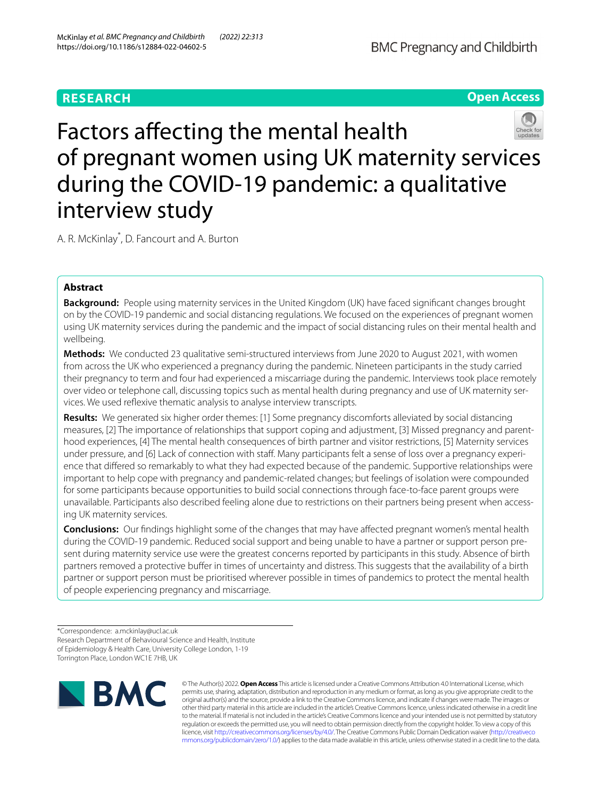# **RESEARCH**



# Factors affecting the mental health of pregnant women using UK maternity services during the COVID-19 pandemic: a qualitative interview study

A. R. McKinlay\* , D. Fancourt and A. Burton

# **Abstract**

**Background:** People using maternity services in the United Kingdom (UK) have faced signifcant changes brought on by the COVID-19 pandemic and social distancing regulations. We focused on the experiences of pregnant women using UK maternity services during the pandemic and the impact of social distancing rules on their mental health and wellbeing.

**Methods:** We conducted 23 qualitative semi-structured interviews from June 2020 to August 2021, with women from across the UK who experienced a pregnancy during the pandemic. Nineteen participants in the study carried their pregnancy to term and four had experienced a miscarriage during the pandemic. Interviews took place remotely over video or telephone call, discussing topics such as mental health during pregnancy and use of UK maternity services. We used refexive thematic analysis to analyse interview transcripts.

**Results:** We generated six higher order themes: [1] Some pregnancy discomforts alleviated by social distancing measures, [2] The importance of relationships that support coping and adjustment, [3] Missed pregnancy and parenthood experiences, [4] The mental health consequences of birth partner and visitor restrictions, [5] Maternity services under pressure, and [6] Lack of connection with staf. Many participants felt a sense of loss over a pregnancy experience that difered so remarkably to what they had expected because of the pandemic. Supportive relationships were important to help cope with pregnancy and pandemic-related changes; but feelings of isolation were compounded for some participants because opportunities to build social connections through face-to-face parent groups were unavailable. Participants also described feeling alone due to restrictions on their partners being present when accessing UK maternity services.

**Conclusions:** Our fndings highlight some of the changes that may have afected pregnant women's mental health during the COVID-19 pandemic. Reduced social support and being unable to have a partner or support person present during maternity service use were the greatest concerns reported by participants in this study. Absence of birth partners removed a protective buffer in times of uncertainty and distress. This suggests that the availability of a birth partner or support person must be prioritised wherever possible in times of pandemics to protect the mental health of people experiencing pregnancy and miscarriage.

\*Correspondence: a.mckinlay@ucl.ac.uk Research Department of Behavioural Science and Health, Institute of Epidemiology & Health Care, University College London, 1-19 Torrington Place, London WC1E 7HB, UK



© The Author(s) 2022. **Open Access** This article is licensed under a Creative Commons Attribution 4.0 International License, which permits use, sharing, adaptation, distribution and reproduction in any medium or format, as long as you give appropriate credit to the original author(s) and the source, provide a link to the Creative Commons licence, and indicate if changes were made. The images or other third party material in this article are included in the article's Creative Commons licence, unless indicated otherwise in a credit line to the material. If material is not included in the article's Creative Commons licence and your intended use is not permitted by statutory regulation or exceeds the permitted use, you will need to obtain permission directly from the copyright holder. To view a copy of this licence, visit [http://creativecommons.org/licenses/by/4.0/.](http://creativecommons.org/licenses/by/4.0/) The Creative Commons Public Domain Dedication waiver ([http://creativeco](http://creativecommons.org/publicdomain/zero/1.0/) [mmons.org/publicdomain/zero/1.0/](http://creativecommons.org/publicdomain/zero/1.0/)) applies to the data made available in this article, unless otherwise stated in a credit line to the data.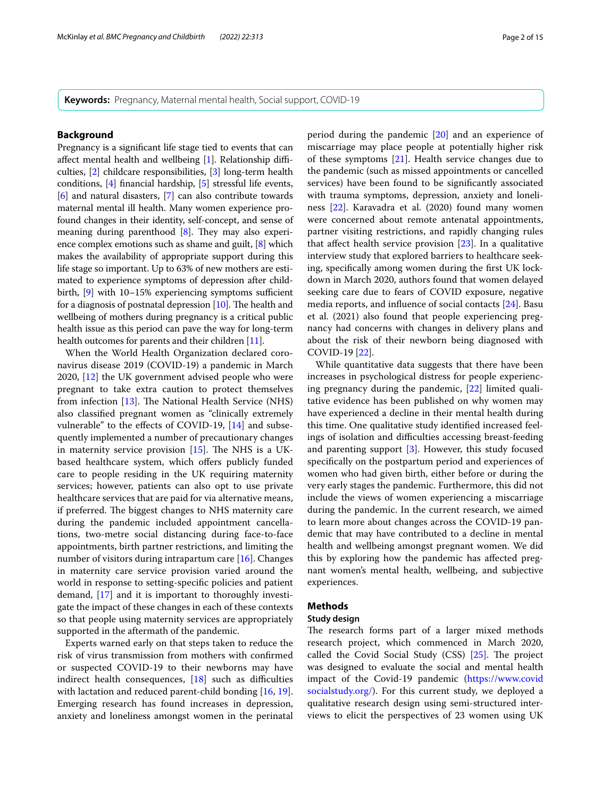## **Background**

Pregnancy is a signifcant life stage tied to events that can affect mental health and wellbeing  $[1]$  $[1]$  $[1]$ . Relationship difficulties, [\[2](#page-12-1)] childcare responsibilities, [[3\]](#page-12-2) long-term health conditions, [[4](#page-12-3)] fnancial hardship, [[5\]](#page-12-4) stressful life events, [[6\]](#page-12-5) and natural disasters, [\[7\]](#page-12-6) can also contribute towards maternal mental ill health. Many women experience profound changes in their identity, self-concept, and sense of meaning during parenthood  $[8]$  $[8]$  $[8]$ . They may also experience complex emotions such as shame and guilt, [\[8\]](#page-12-7) which makes the availability of appropriate support during this life stage so important. Up to 63% of new mothers are estimated to experience symptoms of depression after childbirth,  $[9]$  $[9]$  with 10–15% experiencing symptoms sufficient for a diagnosis of postnatal depression  $[10]$ . The health and wellbeing of mothers during pregnancy is a critical public health issue as this period can pave the way for long-term health outcomes for parents and their children [\[11\]](#page-13-1).

When the World Health Organization declared coronavirus disease 2019 (COVID-19) a pandemic in March 2020, [[12\]](#page-13-2) the UK government advised people who were pregnant to take extra caution to protect themselves from infection  $[13]$  $[13]$ . The National Health Service (NHS) also classifed pregnant women as "clinically extremely vulnerable" to the efects of COVID-19, [\[14](#page-13-4)] and subsequently implemented a number of precautionary changes in maternity service provision  $[15]$  $[15]$ . The NHS is a UKbased healthcare system, which offers publicly funded care to people residing in the UK requiring maternity services; however, patients can also opt to use private healthcare services that are paid for via alternative means, if preferred. The biggest changes to NHS maternity care during the pandemic included appointment cancellations, two-metre social distancing during face-to-face appointments, birth partner restrictions, and limiting the number of visitors during intrapartum care [[16\]](#page-13-6). Changes in maternity care service provision varied around the world in response to setting-specifc policies and patient demand, [[17\]](#page-13-7) and it is important to thoroughly investigate the impact of these changes in each of these contexts so that people using maternity services are appropriately supported in the aftermath of the pandemic.

Experts warned early on that steps taken to reduce the risk of virus transmission from mothers with confrmed or suspected COVID-19 to their newborns may have indirect health consequences,  $[18]$  such as difficulties with lactation and reduced parent-child bonding [[16,](#page-13-6) [19](#page-13-9)]. Emerging research has found increases in depression, anxiety and loneliness amongst women in the perinatal period during the pandemic [[20\]](#page-13-10) and an experience of miscarriage may place people at potentially higher risk of these symptoms [\[21](#page-13-11)]. Health service changes due to the pandemic (such as missed appointments or cancelled services) have been found to be signifcantly associated with trauma symptoms, depression, anxiety and loneliness [\[22\]](#page-13-12). Karavadra et al. (2020) found many women were concerned about remote antenatal appointments, partner visiting restrictions, and rapidly changing rules that afect health service provision [[23\]](#page-13-13). In a qualitative interview study that explored barriers to healthcare seeking, specifcally among women during the frst UK lockdown in March 2020, authors found that women delayed seeking care due to fears of COVID exposure, negative media reports, and infuence of social contacts [\[24\]](#page-13-14). Basu et al. (2021) also found that people experiencing pregnancy had concerns with changes in delivery plans and about the risk of their newborn being diagnosed with COVID-19 [[22](#page-13-12)].

While quantitative data suggests that there have been increases in psychological distress for people experiencing pregnancy during the pandemic, [\[22\]](#page-13-12) limited qualitative evidence has been published on why women may have experienced a decline in their mental health during this time. One qualitative study identifed increased feelings of isolation and difficulties accessing breast-feeding and parenting support [[3\]](#page-12-2). However, this study focused specifcally on the postpartum period and experiences of women who had given birth, either before or during the very early stages the pandemic. Furthermore, this did not include the views of women experiencing a miscarriage during the pandemic. In the current research, we aimed to learn more about changes across the COVID-19 pandemic that may have contributed to a decline in mental health and wellbeing amongst pregnant women. We did this by exploring how the pandemic has afected pregnant women's mental health, wellbeing, and subjective experiences.

# **Methods**

#### **Study design**

The research forms part of a larger mixed methods research project, which commenced in March 2020, called the Covid Social Study (CSS)  $[25]$  $[25]$ . The project was designed to evaluate the social and mental health impact of the Covid-19 pandemic [\(https://www.covid](https://www.covidsocialstudy.org/) [socialstudy.org/\)](https://www.covidsocialstudy.org/). For this current study, we deployed a qualitative research design using semi-structured interviews to elicit the perspectives of 23 women using UK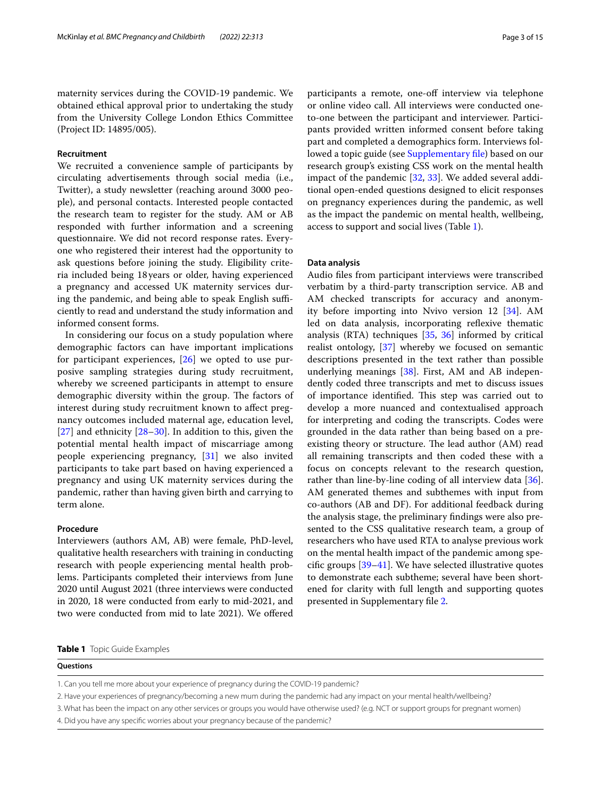maternity services during the COVID-19 pandemic. We obtained ethical approval prior to undertaking the study from the University College London Ethics Committee (Project ID: 14895/005).

## **Recruitment**

We recruited a convenience sample of participants by circulating advertisements through social media (i.e., Twitter), a study newsletter (reaching around 3000 people), and personal contacts. Interested people contacted the research team to register for the study. AM or AB responded with further information and a screening questionnaire. We did not record response rates. Everyone who registered their interest had the opportunity to ask questions before joining the study. Eligibility criteria included being 18 years or older, having experienced a pregnancy and accessed UK maternity services during the pandemic, and being able to speak English sufficiently to read and understand the study information and informed consent forms.

In considering our focus on a study population where demographic factors can have important implications for participant experiences, [\[26](#page-13-16)] we opted to use purposive sampling strategies during study recruitment, whereby we screened participants in attempt to ensure demographic diversity within the group. The factors of interest during study recruitment known to afect pregnancy outcomes included maternal age, education level,  $[27]$  $[27]$  and ethnicity  $[28-30]$  $[28-30]$ . In addition to this, given the potential mental health impact of miscarriage among people experiencing pregnancy, [\[31](#page-13-20)] we also invited participants to take part based on having experienced a pregnancy and using UK maternity services during the pandemic, rather than having given birth and carrying to term alone.

#### **Procedure**

Interviewers (authors AM, AB) were female, PhD-level, qualitative health researchers with training in conducting research with people experiencing mental health problems. Participants completed their interviews from June 2020 until August 2021 (three interviews were conducted in 2020, 18 were conducted from early to mid-2021, and two were conducted from mid to late 2021). We ofered participants a remote, one-off interview via telephone or online video call. All interviews were conducted oneto-one between the participant and interviewer. Participants provided written informed consent before taking part and completed a demographics form. Interviews followed a topic guide (see Supplementary file) based on our research group's existing CSS work on the mental health impact of the pandemic [[32,](#page-13-21) [33\]](#page-13-22). We added several additional open-ended questions designed to elicit responses on pregnancy experiences during the pandemic, as well as the impact the pandemic on mental health, wellbeing, access to support and social lives (Table [1\)](#page-2-0).

#### **Data analysis**

Audio fles from participant interviews were transcribed verbatim by a third-party transcription service. AB and AM checked transcripts for accuracy and anonymity before importing into Nvivo version 12 [[34\]](#page-13-23). AM led on data analysis, incorporating reflexive thematic analysis (RTA) techniques [\[35](#page-13-24), [36](#page-13-25)] informed by critical realist ontology, [\[37](#page-13-26)] whereby we focused on semantic descriptions presented in the text rather than possible underlying meanings [[38\]](#page-13-27). First, AM and AB independently coded three transcripts and met to discuss issues of importance identified. This step was carried out to develop a more nuanced and contextualised approach for interpreting and coding the transcripts. Codes were grounded in the data rather than being based on a preexisting theory or structure. The lead author (AM) read all remaining transcripts and then coded these with a focus on concepts relevant to the research question, rather than line-by-line coding of all interview data [\[36](#page-13-25)]. AM generated themes and subthemes with input from co-authors (AB and DF). For additional feedback during the analysis stage, the preliminary fndings were also presented to the CSS qualitative research team, a group of researchers who have used RTA to analyse previous work on the mental health impact of the pandemic among specifc groups [\[39](#page-13-28)[–41\]](#page-13-29). We have selected illustrative quotes to demonstrate each subtheme; several have been shortened for clarity with full length and supporting quotes presented in Supplementary fle [2.](#page-12-10)

#### <span id="page-2-0"></span>**Table 1** Topic Guide Examples

#### **Questions**

1. Can you tell me more about your experience of pregnancy during the COVID-19 pandemic?

2. Have your experiences of pregnancy/becoming a new mum during the pandemic had any impact on your mental health/wellbeing?

- 3. What has been the impact on any other services or groups you would have otherwise used? (e.g. NCT or support groups for pregnant women)
- 4. Did you have any specifc worries about your pregnancy because of the pandemic?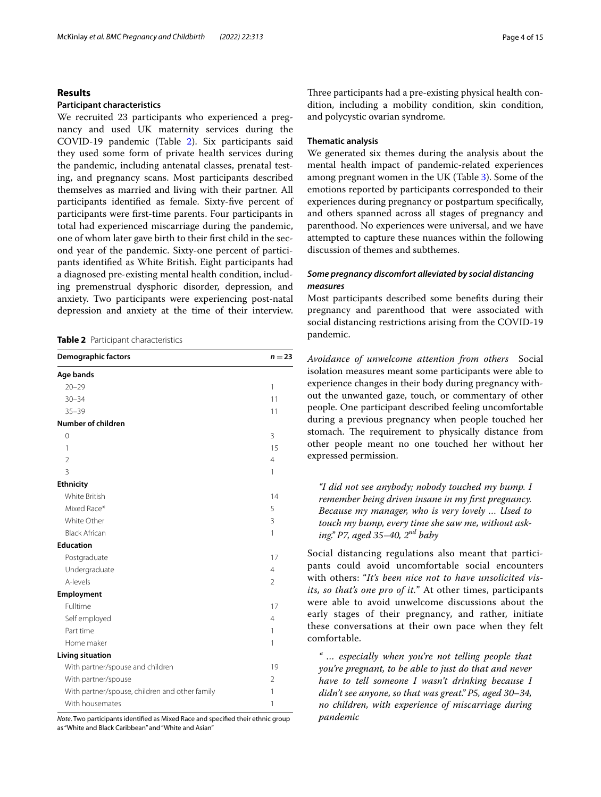#### **Results**

# **Participant characteristics**

We recruited 23 participants who experienced a pregnancy and used UK maternity services during the COVID-19 pandemic (Table [2](#page-3-0)). Six participants said they used some form of private health services during the pandemic, including antenatal classes, prenatal testing, and pregnancy scans. Most participants described themselves as married and living with their partner. All participants identifed as female. Sixty-fve percent of participants were frst-time parents. Four participants in total had experienced miscarriage during the pandemic, one of whom later gave birth to their frst child in the second year of the pandemic. Sixty-one percent of participants identifed as White British. Eight participants had a diagnosed pre-existing mental health condition, including premenstrual dysphoric disorder, depression, and anxiety. Two participants were experiencing post-natal depression and anxiety at the time of their interview.

<span id="page-3-0"></span>**Table 2** Participant characteristics

| Demographic factors                            | $n = 23$       |  |  |
|------------------------------------------------|----------------|--|--|
| Age bands                                      |                |  |  |
| $20 - 29$                                      | 1              |  |  |
| $30 - 34$                                      | 11             |  |  |
| $35 - 39$                                      | 11             |  |  |
| Number of children                             |                |  |  |
| 0                                              | 3              |  |  |
| 1                                              | 15             |  |  |
| $\mathfrak{D}$                                 | $\overline{4}$ |  |  |
| 3                                              | 1              |  |  |
| <b>Ethnicity</b>                               |                |  |  |
| White British                                  | 14             |  |  |
| Mixed Race*                                    | 5              |  |  |
| White Other                                    | 3              |  |  |
| <b>Black African</b>                           | 1              |  |  |
| <b>Education</b>                               |                |  |  |
| Postgraduate                                   | 17             |  |  |
| Undergraduate                                  | $\overline{4}$ |  |  |
| A-levels                                       | $\overline{2}$ |  |  |
| Employment                                     |                |  |  |
| Fulltime                                       | 17             |  |  |
| Self employed                                  | $\overline{4}$ |  |  |
| Part time                                      | 1              |  |  |
| Home maker                                     | 1              |  |  |
| <b>Living situation</b>                        |                |  |  |
| With partner/spouse and children               | 19             |  |  |
| With partner/spouse                            | $\overline{2}$ |  |  |
| With partner/spouse, children and other family | 1              |  |  |
| With housemates                                | 1              |  |  |

*Note*. Two participants identifed as Mixed Race and specifed their ethnic group as "White and Black Caribbean" and "White and Asian"

Three participants had a pre-existing physical health condition, including a mobility condition, skin condition, and polycystic ovarian syndrome.

## **Thematic analysis**

We generated six themes during the analysis about the mental health impact of pandemic-related experiences among pregnant women in the UK (Table [3\)](#page-4-0). Some of the emotions reported by participants corresponded to their experiences during pregnancy or postpartum specifcally, and others spanned across all stages of pregnancy and parenthood. No experiences were universal, and we have attempted to capture these nuances within the following discussion of themes and subthemes.

# *Some pregnancy discomfort alleviated by social distancing measures*

Most participants described some benefts during their pregnancy and parenthood that were associated with social distancing restrictions arising from the COVID-19 pandemic.

*Avoidance of unwelcome attention from others* Social isolation measures meant some participants were able to experience changes in their body during pregnancy without the unwanted gaze, touch, or commentary of other people. One participant described feeling uncomfortable during a previous pregnancy when people touched her stomach. The requirement to physically distance from other people meant no one touched her without her expressed permission.

*"I did not see anybody; nobody touched my bump. I remember being driven insane in my frst pregnancy. Because my manager, who is very lovely … Used to touch my bump, every time she saw me, without asking." P7, aged 35–40, 2nd baby*

Social distancing regulations also meant that participants could avoid uncomfortable social encounters with others: "*It's been nice not to have unsolicited visits, so that's one pro of it.*" At other times, participants were able to avoid unwelcome discussions about the early stages of their pregnancy, and rather, initiate these conversations at their own pace when they felt comfortable.

*" … especially when you're not telling people that you're pregnant, to be able to just do that and never have to tell someone I wasn't drinking because I didn't see anyone, so that was great." P5, aged 30–34, no children, with experience of miscarriage during pandemic*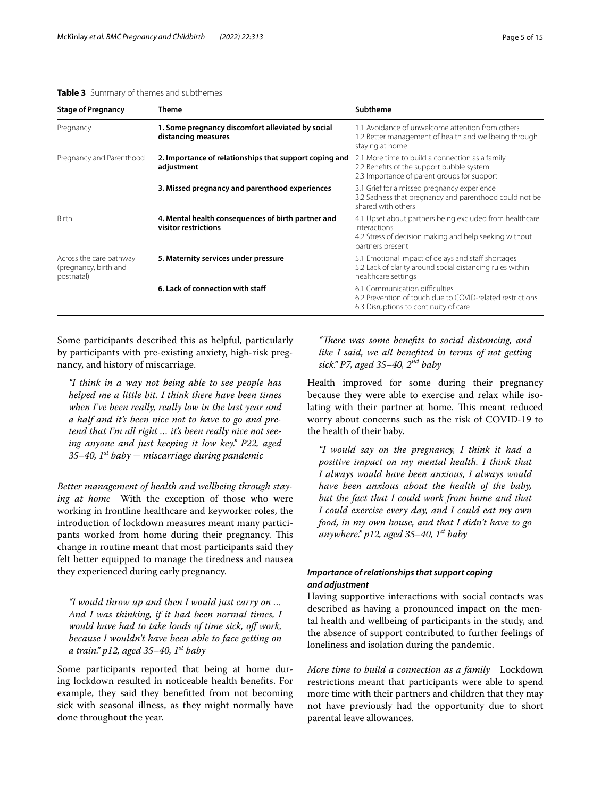#### <span id="page-4-0"></span>**Table 3** Summary of themes and subthemes

| <b>Stage of Pregnancy</b>                                      | <b>Theme</b>                                                               | <b>Subtheme</b>                                                                                                                                       |
|----------------------------------------------------------------|----------------------------------------------------------------------------|-------------------------------------------------------------------------------------------------------------------------------------------------------|
| Pregnancy                                                      | 1. Some pregnancy discomfort alleviated by social<br>distancing measures   | 1.1 Avoidance of unwelcome attention from others<br>1.2 Better management of health and wellbeing through<br>staying at home                          |
| Pregnancy and Parenthood                                       | 2. Importance of relationships that support coping and<br>adjustment       | 2.1 More time to build a connection as a family<br>2.2 Benefits of the support bubble system<br>2.3 Importance of parent groups for support           |
|                                                                | 3. Missed pregnancy and parenthood experiences                             | 3.1 Grief for a missed pregnancy experience<br>3.2 Sadness that pregnancy and parenthood could not be<br>shared with others                           |
| <b>Birth</b>                                                   | 4. Mental health consequences of birth partner and<br>visitor restrictions | 4.1 Upset about partners being excluded from healthcare<br>interactions<br>4.2 Stress of decision making and help seeking without<br>partners present |
| Across the care pathway<br>(pregnancy, birth and<br>postnatal) | 5. Maternity services under pressure                                       | 5.1 Emotional impact of delays and staff shortages<br>5.2 Lack of clarity around social distancing rules within<br>healthcare settings                |
|                                                                | 6. Lack of connection with staff                                           | 6.1 Communication difficulties<br>6.2 Prevention of touch due to COVID-related restrictions<br>6.3 Disruptions to continuity of care                  |

Some participants described this as helpful, particularly by participants with pre-existing anxiety, high-risk pregnancy, and history of miscarriage.

*"I think in a way not being able to see people has helped me a little bit. I think there have been times when I've been really, really low in the last year and a half and it's been nice not to have to go and pretend that I'm all right … it's been really nice not seeing anyone and just keeping it low key." P22, aged 35–40, 1st baby* + *miscarriage during pandemic*

*Better management of health and wellbeing through staying at home* With the exception of those who were working in frontline healthcare and keyworker roles, the introduction of lockdown measures meant many participants worked from home during their pregnancy. This change in routine meant that most participants said they felt better equipped to manage the tiredness and nausea they experienced during early pregnancy.

*"I would throw up and then I would just carry on … And I was thinking, if it had been normal times, I would have had to take loads of time sick, of work, because I wouldn't have been able to face getting on a train." p12, aged 35–40, 1st baby*

Some participants reported that being at home during lockdown resulted in noticeable health benefts. For example, they said they beneftted from not becoming sick with seasonal illness, as they might normally have done throughout the year.

"There was some benefits to social distancing, and *like I said, we all benefted in terms of not getting sick." P7, aged 35–40, 2nd baby*

Health improved for some during their pregnancy because they were able to exercise and relax while isolating with their partner at home. This meant reduced worry about concerns such as the risk of COVID-19 to the health of their baby.

*"I would say on the pregnancy, I think it had a positive impact on my mental health. I think that I always would have been anxious, I always would have been anxious about the health of the baby, but the fact that I could work from home and that I could exercise every day, and I could eat my own food, in my own house, and that I didn't have to go anywhere." p12, aged 35–40, 1st baby*

# *Importance of relationships that support coping and adjustment*

Having supportive interactions with social contacts was described as having a pronounced impact on the mental health and wellbeing of participants in the study, and the absence of support contributed to further feelings of loneliness and isolation during the pandemic.

*More time to build a connection as a family* Lockdown restrictions meant that participants were able to spend more time with their partners and children that they may not have previously had the opportunity due to short parental leave allowances.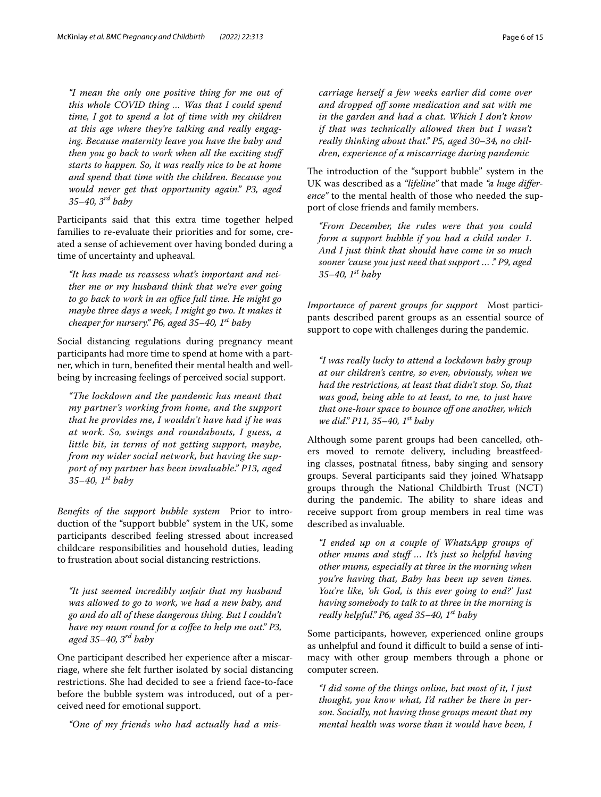*"I mean the only one positive thing for me out of this whole COVID thing … Was that I could spend time, I got to spend a lot of time with my children at this age where they're talking and really engaging. Because maternity leave you have the baby and then you go back to work when all the exciting stuf starts to happen. So, it was really nice to be at home and spend that time with the children. Because you would never get that opportunity again." P3, aged 35–40, 3rd baby*

Participants said that this extra time together helped families to re-evaluate their priorities and for some, created a sense of achievement over having bonded during a time of uncertainty and upheaval.

*"It has made us reassess what's important and neither me or my husband think that we're ever going*  to go back to work in an office full time. He might go *maybe three days a week, I might go two. It makes it cheaper for nursery." P6, aged 35–40, 1st baby*

Social distancing regulations during pregnancy meant participants had more time to spend at home with a partner, which in turn, benefted their mental health and wellbeing by increasing feelings of perceived social support.

*"The lockdown and the pandemic has meant that my partner's working from home, and the support that he provides me, I wouldn't have had if he was at work. So, swings and roundabouts, I guess, a little bit, in terms of not getting support, maybe, from my wider social network, but having the support of my partner has been invaluable." P13, aged 35–40, 1st baby*

*Benefts of the support bubble system* Prior to introduction of the "support bubble" system in the UK, some participants described feeling stressed about increased childcare responsibilities and household duties, leading to frustration about social distancing restrictions.

*"It just seemed incredibly unfair that my husband was allowed to go to work, we had a new baby, and go and do all of these dangerous thing. But I couldn't have my mum round for a cofee to help me out." P3, aged 35–40, 3rd baby*

One participant described her experience after a miscarriage, where she felt further isolated by social distancing restrictions. She had decided to see a friend face-to-face before the bubble system was introduced, out of a perceived need for emotional support.

*"One of my friends who had actually had a mis-*

*carriage herself a few weeks earlier did come over and dropped of some medication and sat with me in the garden and had a chat. Which I don't know if that was technically allowed then but I wasn't really thinking about that." P5, aged 30–34, no children, experience of a miscarriage during pandemic*

The introduction of the "support bubble" system in the UK was described as a *"lifeline"* that made *"a huge diference"* to the mental health of those who needed the support of close friends and family members.

*"From December, the rules were that you could form a support bubble if you had a child under 1. And I just think that should have come in so much sooner 'cause you just need that support … ." P9, aged 35–40, 1st baby*

*Importance of parent groups for support* Most participants described parent groups as an essential source of support to cope with challenges during the pandemic.

*"I was really lucky to attend a lockdown baby group at our children's centre, so even, obviously, when we had the restrictions, at least that didn't stop. So, that was good, being able to at least, to me, to just have that one-hour space to bounce of one another, which we did." P11, 35–40, 1st baby*

Although some parent groups had been cancelled, others moved to remote delivery, including breastfeeding classes, postnatal ftness, baby singing and sensory groups. Several participants said they joined Whatsapp groups through the National Childbirth Trust (NCT) during the pandemic. The ability to share ideas and receive support from group members in real time was described as invaluable.

*"I ended up on a couple of WhatsApp groups of other mums and stuf … It's just so helpful having other mums, especially at three in the morning when you're having that, Baby has been up seven times. You're like, 'oh God, is this ever going to end?' Just having somebody to talk to at three in the morning is really helpful." P6, aged 35–40, 1st baby*

Some participants, however, experienced online groups as unhelpful and found it difficult to build a sense of intimacy with other group members through a phone or computer screen.

*"I did some of the things online, but most of it, I just thought, you know what, I'd rather be there in person. Socially, not having those groups meant that my mental health was worse than it would have been, I*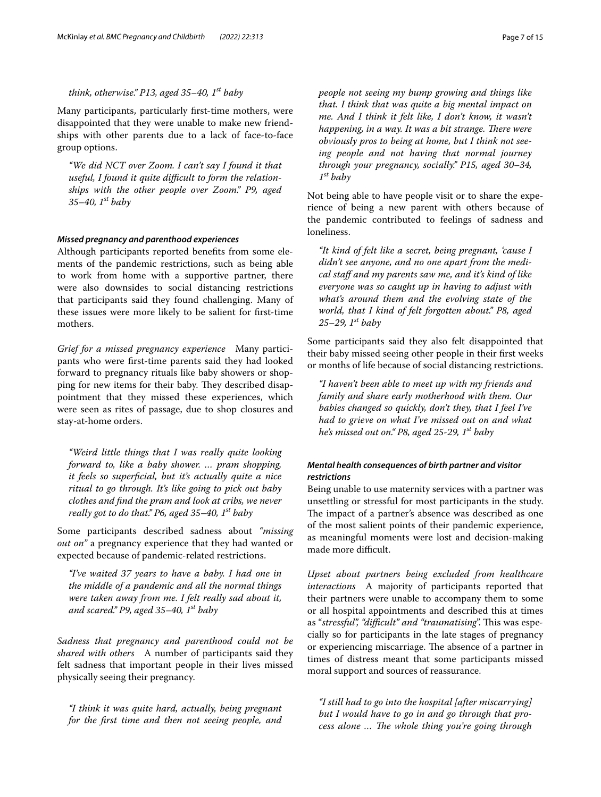## *think, otherwise." P13, aged 35–40, 1st baby*

Many participants, particularly frst-time mothers, were disappointed that they were unable to make new friendships with other parents due to a lack of face-to-face group options.

*"We did NCT over Zoom. I can't say I found it that*  useful, I found it quite difficult to form the relation*ships with the other people over Zoom." P9, aged 35–40, 1st baby*

#### *Missed pregnancy and parenthood experiences*

Although participants reported benefts from some elements of the pandemic restrictions, such as being able to work from home with a supportive partner, there were also downsides to social distancing restrictions that participants said they found challenging. Many of these issues were more likely to be salient for frst-time mothers.

*Grief for a missed pregnancy experience* Many participants who were frst-time parents said they had looked forward to pregnancy rituals like baby showers or shopping for new items for their baby. They described disappointment that they missed these experiences, which were seen as rites of passage, due to shop closures and stay-at-home orders.

*"Weird little things that I was really quite looking forward to, like a baby shower. … pram shopping, it feels so superfcial, but it's actually quite a nice ritual to go through. It's like going to pick out baby clothes and fnd the pram and look at cribs, we never really got to do that." P6, aged 35–40, 1st baby*

Some participants described sadness about *"missing out on"* a pregnancy experience that they had wanted or expected because of pandemic-related restrictions.

*"I've waited 37 years to have a baby. I had one in the middle of a pandemic and all the normal things were taken away from me. I felt really sad about it, and scared." P9, aged 35–40, 1st baby*

*Sadness that pregnancy and parenthood could not be shared with others* A number of participants said they felt sadness that important people in their lives missed physically seeing their pregnancy.

*"I think it was quite hard, actually, being pregnant for the frst time and then not seeing people, and*  *people not seeing my bump growing and things like that. I think that was quite a big mental impact on me. And I think it felt like, I don't know, it wasn't happening, in a way. It was a bit strange. There were obviously pros to being at home, but I think not seeing people and not having that normal journey through your pregnancy, socially." P15, aged 30–34, 1st baby*

Not being able to have people visit or to share the experience of being a new parent with others because of the pandemic contributed to feelings of sadness and loneliness.

*"It kind of felt like a secret, being pregnant, 'cause I didn't see anyone, and no one apart from the medical staf and my parents saw me, and it's kind of like everyone was so caught up in having to adjust with what's around them and the evolving state of the world, that I kind of felt forgotten about." P8, aged 25–29, 1st baby*

Some participants said they also felt disappointed that their baby missed seeing other people in their frst weeks or months of life because of social distancing restrictions.

*"I haven't been able to meet up with my friends and family and share early motherhood with them. Our babies changed so quickly, don't they, that I feel I've had to grieve on what I've missed out on and what he's missed out on." P8, aged 25-29, 1st baby*

# *Mental health consequences of birth partner and visitor restrictions*

Being unable to use maternity services with a partner was unsettling or stressful for most participants in the study. The impact of a partner's absence was described as one of the most salient points of their pandemic experience, as meaningful moments were lost and decision-making made more difficult.

*Upset about partners being excluded from healthcare interactions* A majority of participants reported that their partners were unable to accompany them to some or all hospital appointments and described this at times as "stressful", "difficult" and "traumatising". This was especially so for participants in the late stages of pregnancy or experiencing miscarriage. The absence of a partner in times of distress meant that some participants missed moral support and sources of reassurance.

*"I still had to go into the hospital [after miscarrying] but I would have to go in and go through that process alone ... The whole thing you're going through*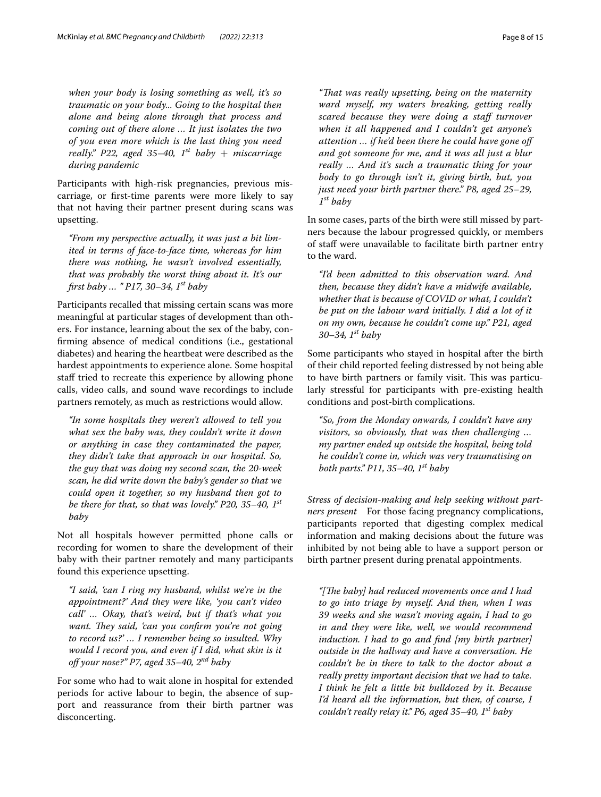*when your body is losing something as well, it's so traumatic on your body... Going to the hospital then alone and being alone through that process and coming out of there alone … It just isolates the two of you even more which is the last thing you need really.*" P22, aged 35-40,  $1^{st}$  baby + miscarriage *during pandemic*

Participants with high-risk pregnancies, previous miscarriage, or frst-time parents were more likely to say that not having their partner present during scans was upsetting.

*"From my perspective actually, it was just a bit limited in terms of face-to-face time, whereas for him there was nothing, he wasn't involved essentially, that was probably the worst thing about it. It's our frst baby … " P17, 30–34, 1st baby*

Participants recalled that missing certain scans was more meaningful at particular stages of development than others. For instance, learning about the sex of the baby, confrming absence of medical conditions (i.e., gestational diabetes) and hearing the heartbeat were described as the hardest appointments to experience alone. Some hospital staff tried to recreate this experience by allowing phone calls, video calls, and sound wave recordings to include partners remotely, as much as restrictions would allow.

*"In some hospitals they weren't allowed to tell you what sex the baby was, they couldn't write it down or anything in case they contaminated the paper, they didn't take that approach in our hospital. So, the guy that was doing my second scan, the 20-week scan, he did write down the baby's gender so that we could open it together, so my husband then got to be there for that, so that was lovely." P20, 35–40, 1st baby*

Not all hospitals however permitted phone calls or recording for women to share the development of their baby with their partner remotely and many participants found this experience upsetting.

*"I said, 'can I ring my husband, whilst we're in the appointment?' And they were like, 'you can't video call' … Okay, that's weird, but if that's what you want. They said, 'can you confirm you're not going to record us?' … I remember being so insulted. Why would I record you, and even if I did, what skin is it of your nose?" P7, aged 35–40, 2nd baby*

For some who had to wait alone in hospital for extended periods for active labour to begin, the absence of support and reassurance from their birth partner was disconcerting.

*"Tat was really upsetting, being on the maternity ward myself, my waters breaking, getting really scared because they were doing a staf turnover when it all happened and I couldn't get anyone's attention … if he'd been there he could have gone of and got someone for me, and it was all just a blur really … And it's such a traumatic thing for your body to go through isn't it, giving birth, but, you just need your birth partner there." P8, aged 25–29, 1st baby*

In some cases, parts of the birth were still missed by partners because the labour progressed quickly, or members of staf were unavailable to facilitate birth partner entry to the ward.

*"I'd been admitted to this observation ward. And then, because they didn't have a midwife available, whether that is because of COVID or what, I couldn't be put on the labour ward initially. I did a lot of it on my own, because he couldn't come up." P21, aged 30–34, 1st baby*

Some participants who stayed in hospital after the birth of their child reported feeling distressed by not being able to have birth partners or family visit. This was particularly stressful for participants with pre-existing health conditions and post-birth complications.

*"So, from the Monday onwards, I couldn't have any visitors, so obviously, that was then challenging … my partner ended up outside the hospital, being told he couldn't come in, which was very traumatising on both parts." P11, 35–40, 1st baby*

*Stress of decision-making and help seeking without partners present* For those facing pregnancy complications, participants reported that digesting complex medical information and making decisions about the future was inhibited by not being able to have a support person or birth partner present during prenatal appointments.

*"*[The baby] had reduced movements once and I had *to go into triage by myself. And then, when I was 39 weeks and she wasn't moving again, I had to go in and they were like, well, we would recommend induction. I had to go and fnd [my birth partner] outside in the hallway and have a conversation. He couldn't be in there to talk to the doctor about a really pretty important decision that we had to take. I think he felt a little bit bulldozed by it. Because I'd heard all the information, but then, of course, I couldn't really relay it." P6, aged 35–40, 1st baby*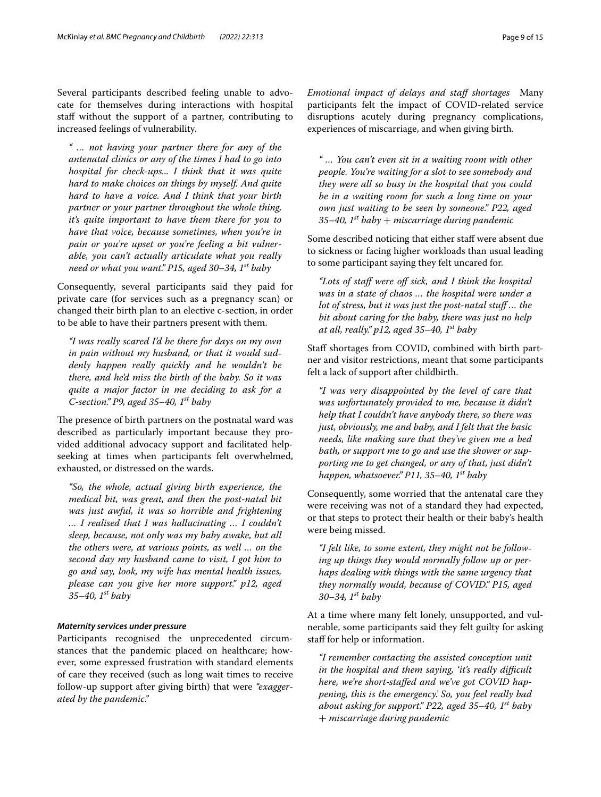Several participants described feeling unable to advocate for themselves during interactions with hospital staf without the support of a partner, contributing to increased feelings of vulnerability.

*" … not having your partner there for any of the antenatal clinics or any of the times I had to go into hospital for check-ups... I think that it was quite hard to make choices on things by myself. And quite hard to have a voice. And I think that your birth partner or your partner throughout the whole thing, it's quite important to have them there for you to have that voice, because sometimes, when you're in pain or you're upset or you're feeling a bit vulnerable, you can't actually articulate what you really need or what you want." P15, aged 30–34, 1st baby*

Consequently, several participants said they paid for private care (for services such as a pregnancy scan) or changed their birth plan to an elective c-section, in order to be able to have their partners present with them.

*"I was really scared I'd be there for days on my own in pain without my husband, or that it would suddenly happen really quickly and he wouldn't be there, and he'd miss the birth of the baby. So it was quite a major factor in me deciding to ask for a C-section." P9, aged 35–40, 1st baby*

The presence of birth partners on the postnatal ward was described as particularly important because they provided additional advocacy support and facilitated helpseeking at times when participants felt overwhelmed, exhausted, or distressed on the wards.

*"So, the whole, actual giving birth experience, the medical bit, was great, and then the post-natal bit was just awful, it was so horrible and frightening … I realised that I was hallucinating … I couldn't sleep, because, not only was my baby awake, but all the others were, at various points, as well … on the second day my husband came to visit, I got him to go and say, look, my wife has mental health issues, please can you give her more support." p12, aged 35–40, 1st baby*

#### *Maternity services under pressure*

Participants recognised the unprecedented circumstances that the pandemic placed on healthcare; however, some expressed frustration with standard elements of care they received (such as long wait times to receive follow-up support after giving birth) that were *"exaggerated by the pandemic."*

*Emotional impact of delays and staf shortages* Many participants felt the impact of COVID-related service disruptions acutely during pregnancy complications, experiences of miscarriage, and when giving birth.

*" … You can't even sit in a waiting room with other people. You're waiting for a slot to see somebody and they were all so busy in the hospital that you could be in a waiting room for such a long time on your own just waiting to be seen by someone." P22, aged 35–40, 1st baby* + *miscarriage during pandemic*

Some described noticing that either staff were absent due to sickness or facing higher workloads than usual leading to some participant saying they felt uncared for.

*"Lots of staf were of sick, and I think the hospital was in a state of chaos … the hospital were under a lot of stress, but it was just the post-natal stuf … the bit about caring for the baby, there was just no help at all, really." p12, aged 35–40, 1st baby*

Staff shortages from COVID, combined with birth partner and visitor restrictions, meant that some participants felt a lack of support after childbirth.

*"I was very disappointed by the level of care that was unfortunately provided to me, because it didn't help that I couldn't have anybody there, so there was just, obviously, me and baby, and I felt that the basic needs, like making sure that they've given me a bed bath, or support me to go and use the shower or supporting me to get changed, or any of that, just didn't happen, whatsoever." P11, 35–40, 1st baby*

Consequently, some worried that the antenatal care they were receiving was not of a standard they had expected, or that steps to protect their health or their baby's health were being missed.

*"I felt like, to some extent, they might not be following up things they would normally follow up or perhaps dealing with things with the same urgency that they normally would, because of COVID." P15, aged 30–34, 1st baby*

At a time where many felt lonely, unsupported, and vulnerable, some participants said they felt guilty for asking staff for help or information.

*"I remember contacting the assisted conception unit in the hospital and them saying, 'it's really difcult here, we're short-stafed and we've got COVID happening, this is the emergency.' So, you feel really bad about asking for support." P22, aged 35–40, 1st baby*  + *miscarriage during pandemic*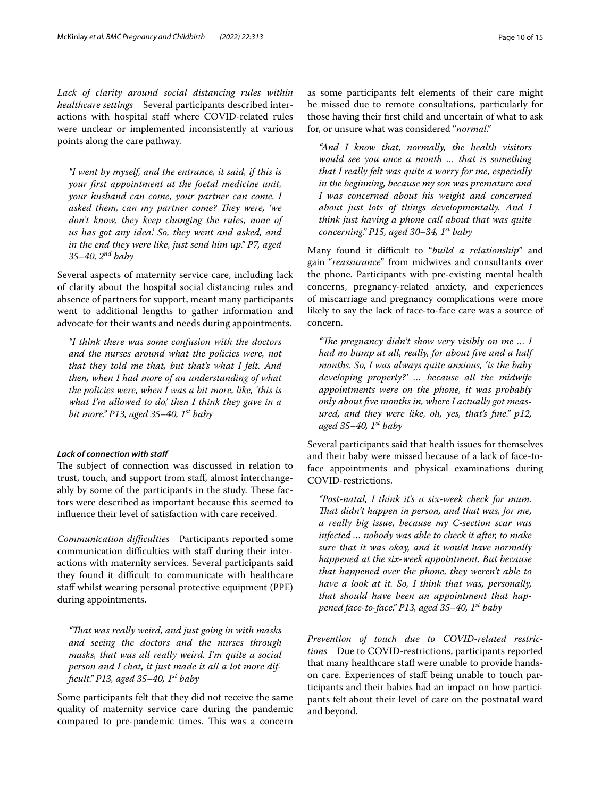*Lack of clarity around social distancing rules within healthcare settings* Several participants described interactions with hospital staff where COVID-related rules were unclear or implemented inconsistently at various points along the care pathway.

*"I went by myself, and the entrance, it said, if this is your frst appointment at the foetal medicine unit, your husband can come, your partner can come. I asked them, can my partner come? They were, 'we don't know, they keep changing the rules, none of us has got any idea.' So, they went and asked, and in the end they were like, just send him up." P7, aged 35–40, 2nd baby*

Several aspects of maternity service care, including lack of clarity about the hospital social distancing rules and absence of partners for support, meant many participants went to additional lengths to gather information and advocate for their wants and needs during appointments.

*"I think there was some confusion with the doctors and the nurses around what the policies were, not that they told me that, but that's what I felt. And then, when I had more of an understanding of what the policies were, when I was a bit more, like, 'this is what I'm allowed to do,' then I think they gave in a bit more." P13, aged 35–40, 1st baby*

#### *Lack of connection with staf*

The subject of connection was discussed in relation to trust, touch, and support from staf, almost interchangeably by some of the participants in the study. These factors were described as important because this seemed to infuence their level of satisfaction with care received.

*Communication difculties* Participants reported some communication difficulties with staff during their interactions with maternity services. Several participants said they found it difficult to communicate with healthcare staff whilst wearing personal protective equipment (PPE) during appointments.

*"Tat was really weird, and just going in with masks and seeing the doctors and the nurses through masks, that was all really weird. I'm quite a social person and I chat, it just made it all a lot more diffcult." P13, aged 35–40, 1st baby*

Some participants felt that they did not receive the same quality of maternity service care during the pandemic compared to pre-pandemic times. This was a concern as some participants felt elements of their care might be missed due to remote consultations, particularly for those having their frst child and uncertain of what to ask for, or unsure what was considered "*normal."*

*"And I know that, normally, the health visitors would see you once a month … that is something that I really felt was quite a worry for me, especially in the beginning, because my son was premature and I was concerned about his weight and concerned about just lots of things developmentally. And I think just having a phone call about that was quite concerning." P15, aged 30–34, 1st baby*

Many found it difficult to "build a relationship" and gain "*reassurance*" from midwives and consultants over the phone. Participants with pre-existing mental health concerns, pregnancy-related anxiety, and experiences of miscarriage and pregnancy complications were more likely to say the lack of face-to-face care was a source of concern.

*"The pregnancy didn't show very visibly on me ... I had no bump at all, really, for about fve and a half months. So, I was always quite anxious, 'is the baby developing properly?' … because all the midwife appointments were on the phone, it was probably only about fve months in, where I actually got measured, and they were like, oh, yes, that's fne." p12, aged 35–40, 1st baby*

Several participants said that health issues for themselves and their baby were missed because of a lack of face-toface appointments and physical examinations during COVID-restrictions.

*"Post-natal, I think it's a six-week check for mum. Tat didn't happen in person, and that was, for me, a really big issue, because my C-section scar was infected … nobody was able to check it after, to make sure that it was okay, and it would have normally happened at the six-week appointment. But because that happened over the phone, they weren't able to have a look at it. So, I think that was, personally, that should have been an appointment that happened face-to-face." P13, aged 35–40, 1st baby*

*Prevention of touch due to COVID-related restrictions* Due to COVID-restrictions, participants reported that many healthcare staff were unable to provide handson care. Experiences of staf being unable to touch participants and their babies had an impact on how participants felt about their level of care on the postnatal ward and beyond.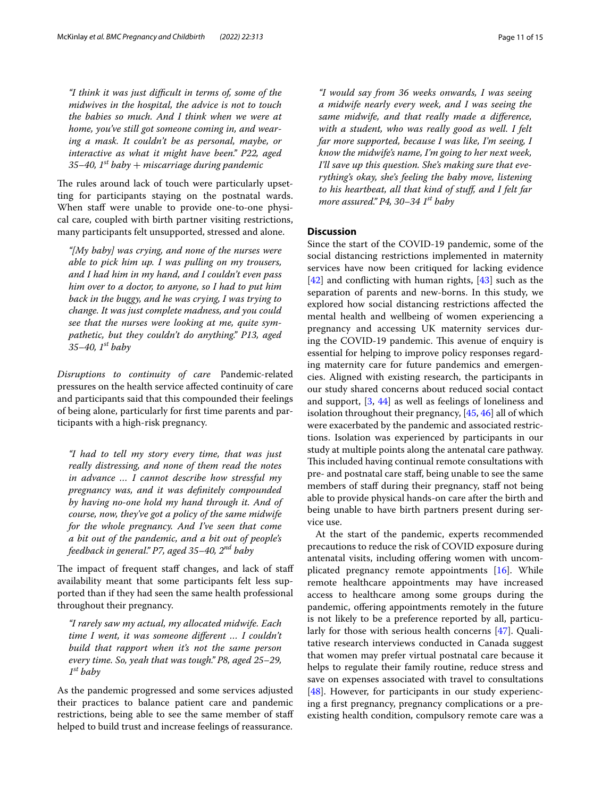*"I think it was just difcult in terms of, some of the midwives in the hospital, the advice is not to touch the babies so much. And I think when we were at home, you've still got someone coming in, and wearing a mask. It couldn't be as personal, maybe, or interactive as what it might have been." P22, aged 35–40, 1st baby* + *miscarriage during pandemic*

The rules around lack of touch were particularly upsetting for participants staying on the postnatal wards. When staff were unable to provide one-to-one physical care, coupled with birth partner visiting restrictions, many participants felt unsupported, stressed and alone.

*"[My baby] was crying, and none of the nurses were able to pick him up. I was pulling on my trousers, and I had him in my hand, and I couldn't even pass him over to a doctor, to anyone, so I had to put him back in the buggy, and he was crying, I was trying to change. It was just complete madness, and you could see that the nurses were looking at me, quite sympathetic, but they couldn't do anything." P13, aged 35–40, 1st baby*

*Disruptions to continuity of care* Pandemic-related pressures on the health service afected continuity of care and participants said that this compounded their feelings of being alone, particularly for frst time parents and participants with a high-risk pregnancy.

*"I had to tell my story every time, that was just really distressing, and none of them read the notes in advance … I cannot describe how stressful my pregnancy was, and it was defnitely compounded by having no-one hold my hand through it. And of course, now, they've got a policy of the same midwife for the whole pregnancy. And I've seen that come a bit out of the pandemic, and a bit out of people's feedback in general." P7, aged 35–40, 2nd baby*

The impact of frequent staff changes, and lack of staff availability meant that some participants felt less supported than if they had seen the same health professional throughout their pregnancy.

*"I rarely saw my actual, my allocated midwife. Each time I went, it was someone diferent … I couldn't build that rapport when it's not the same person every time. So, yeah that was tough." P8, aged 25–29, 1st baby*

As the pandemic progressed and some services adjusted their practices to balance patient care and pandemic restrictions, being able to see the same member of staf helped to build trust and increase feelings of reassurance.

*"I would say from 36 weeks onwards, I was seeing a midwife nearly every week, and I was seeing the same midwife, and that really made a diference, with a student, who was really good as well. I felt far more supported, because I was like, I'm seeing, I know the midwife's name, I'm going to her next week, I'll save up this question. She's making sure that everything's okay, she's feeling the baby move, listening to his heartbeat, all that kind of stuf, and I felt far more assured." P4, 30–34 1st baby*

#### **Discussion**

Since the start of the COVID-19 pandemic, some of the social distancing restrictions implemented in maternity services have now been critiqued for lacking evidence  $[42]$  $[42]$  and conflicting with human rights,  $[43]$  $[43]$  $[43]$  such as the separation of parents and new-borns. In this study, we explored how social distancing restrictions afected the mental health and wellbeing of women experiencing a pregnancy and accessing UK maternity services during the COVID-19 pandemic. This avenue of enquiry is essential for helping to improve policy responses regarding maternity care for future pandemics and emergencies. Aligned with existing research, the participants in our study shared concerns about reduced social contact and support, [\[3](#page-12-2), [44](#page-13-32)] as well as feelings of loneliness and isolation throughout their pregnancy, [\[45](#page-13-33), [46](#page-13-34)] all of which were exacerbated by the pandemic and associated restrictions. Isolation was experienced by participants in our study at multiple points along the antenatal care pathway. This included having continual remote consultations with pre- and postnatal care staf, being unable to see the same members of staff during their pregnancy, staff not being able to provide physical hands-on care after the birth and being unable to have birth partners present during service use.

At the start of the pandemic, experts recommended precautions to reduce the risk of COVID exposure during antenatal visits, including ofering women with uncomplicated pregnancy remote appointments [\[16](#page-13-6)]. While remote healthcare appointments may have increased access to healthcare among some groups during the pandemic, ofering appointments remotely in the future is not likely to be a preference reported by all, particularly for those with serious health concerns [\[47](#page-13-35)]. Qualitative research interviews conducted in Canada suggest that women may prefer virtual postnatal care because it helps to regulate their family routine, reduce stress and save on expenses associated with travel to consultations [[48\]](#page-13-36). However, for participants in our study experiencing a frst pregnancy, pregnancy complications or a preexisting health condition, compulsory remote care was a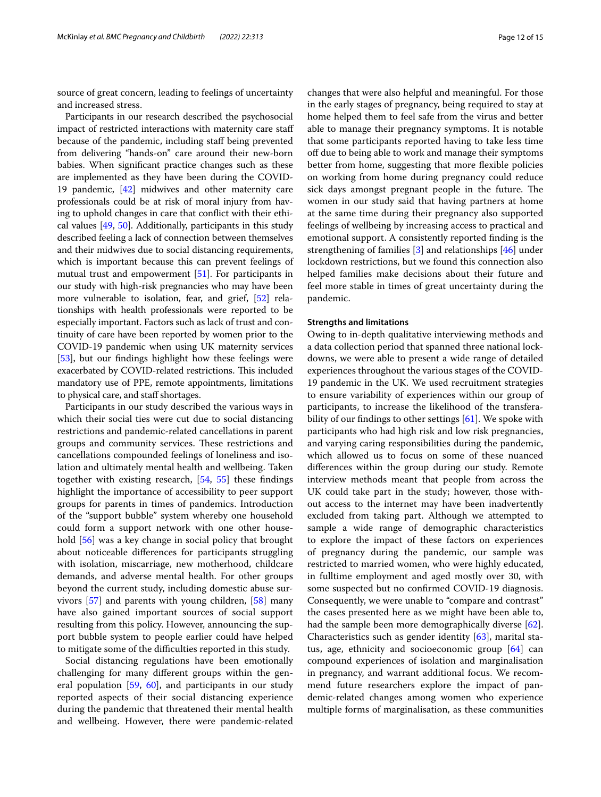source of great concern, leading to feelings of uncertainty and increased stress.

Participants in our research described the psychosocial impact of restricted interactions with maternity care staf because of the pandemic, including staf being prevented from delivering "hands-on" care around their new-born babies. When signifcant practice changes such as these are implemented as they have been during the COVID-19 pandemic, [[42](#page-13-30)] midwives and other maternity care professionals could be at risk of moral injury from having to uphold changes in care that confict with their ethical values [\[49,](#page-13-37) [50\]](#page-13-38). Additionally, participants in this study described feeling a lack of connection between themselves and their midwives due to social distancing requirements, which is important because this can prevent feelings of mutual trust and empowerment [\[51](#page-13-39)]. For participants in our study with high-risk pregnancies who may have been more vulnerable to isolation, fear, and grief, [\[52](#page-13-40)] relationships with health professionals were reported to be especially important. Factors such as lack of trust and continuity of care have been reported by women prior to the COVID-19 pandemic when using UK maternity services [[53](#page-14-0)], but our findings highlight how these feelings were exacerbated by COVID-related restrictions. This included mandatory use of PPE, remote appointments, limitations to physical care, and staff shortages.

Participants in our study described the various ways in which their social ties were cut due to social distancing restrictions and pandemic-related cancellations in parent groups and community services. These restrictions and cancellations compounded feelings of loneliness and isolation and ultimately mental health and wellbeing. Taken together with existing research, [\[54](#page-14-1), [55](#page-14-2)] these fndings highlight the importance of accessibility to peer support groups for parents in times of pandemics. Introduction of the "support bubble" system whereby one household could form a support network with one other household [\[56](#page-14-3)] was a key change in social policy that brought about noticeable diferences for participants struggling with isolation, miscarriage, new motherhood, childcare demands, and adverse mental health. For other groups beyond the current study, including domestic abuse survivors [\[57\]](#page-14-4) and parents with young children, [\[58](#page-14-5)] many have also gained important sources of social support resulting from this policy. However, announcing the support bubble system to people earlier could have helped to mitigate some of the difficulties reported in this study.

Social distancing regulations have been emotionally challenging for many diferent groups within the general population [\[59](#page-14-6), [60\]](#page-14-7), and participants in our study reported aspects of their social distancing experience during the pandemic that threatened their mental health and wellbeing. However, there were pandemic-related changes that were also helpful and meaningful. For those in the early stages of pregnancy, being required to stay at home helped them to feel safe from the virus and better able to manage their pregnancy symptoms. It is notable that some participants reported having to take less time off due to being able to work and manage their symptoms better from home, suggesting that more fexible policies on working from home during pregnancy could reduce sick days amongst pregnant people in the future. The women in our study said that having partners at home at the same time during their pregnancy also supported feelings of wellbeing by increasing access to practical and emotional support. A consistently reported fnding is the strengthening of families [\[3](#page-12-2)] and relationships [[46\]](#page-13-34) under lockdown restrictions, but we found this connection also helped families make decisions about their future and feel more stable in times of great uncertainty during the pandemic.

#### **Strengths and limitations**

Owing to in-depth qualitative interviewing methods and a data collection period that spanned three national lockdowns, we were able to present a wide range of detailed experiences throughout the various stages of the COVID-19 pandemic in the UK. We used recruitment strategies to ensure variability of experiences within our group of participants, to increase the likelihood of the transferability of our fndings to other settings [\[61\]](#page-14-8). We spoke with participants who had high risk and low risk pregnancies, and varying caring responsibilities during the pandemic, which allowed us to focus on some of these nuanced diferences within the group during our study. Remote interview methods meant that people from across the UK could take part in the study; however, those without access to the internet may have been inadvertently excluded from taking part. Although we attempted to sample a wide range of demographic characteristics to explore the impact of these factors on experiences of pregnancy during the pandemic, our sample was restricted to married women, who were highly educated, in fulltime employment and aged mostly over 30, with some suspected but no confrmed COVID-19 diagnosis. Consequently, we were unable to "compare and contrast" the cases presented here as we might have been able to, had the sample been more demographically diverse [\[62](#page-14-9)]. Characteristics such as gender identity [\[63](#page-14-10)], marital status, age, ethnicity and socioeconomic group [\[64\]](#page-14-11) can compound experiences of isolation and marginalisation in pregnancy, and warrant additional focus. We recommend future researchers explore the impact of pandemic-related changes among women who experience multiple forms of marginalisation, as these communities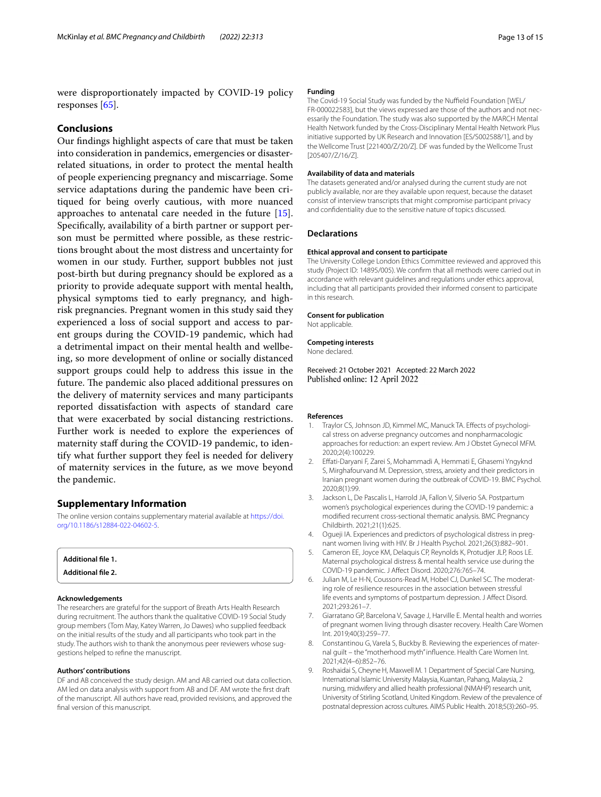were disproportionately impacted by COVID-19 policy responses [\[65](#page-14-12)].

## **Conclusions**

Our fndings highlight aspects of care that must be taken into consideration in pandemics, emergencies or disasterrelated situations, in order to protect the mental health of people experiencing pregnancy and miscarriage. Some service adaptations during the pandemic have been critiqued for being overly cautious, with more nuanced approaches to antenatal care needed in the future [\[15](#page-13-5)]. Specifcally, availability of a birth partner or support person must be permitted where possible, as these restrictions brought about the most distress and uncertainty for women in our study. Further, support bubbles not just post-birth but during pregnancy should be explored as a priority to provide adequate support with mental health, physical symptoms tied to early pregnancy, and highrisk pregnancies. Pregnant women in this study said they experienced a loss of social support and access to parent groups during the COVID-19 pandemic, which had a detrimental impact on their mental health and wellbeing, so more development of online or socially distanced support groups could help to address this issue in the future. The pandemic also placed additional pressures on the delivery of maternity services and many participants reported dissatisfaction with aspects of standard care that were exacerbated by social distancing restrictions. Further work is needed to explore the experiences of maternity staff during the COVID-19 pandemic, to identify what further support they feel is needed for delivery of maternity services in the future, as we move beyond the pandemic.

#### **Supplementary Information**

The online version contains supplementary material available at [https://doi.](https://doi.org/10.1186/s12884-022-04602-5) [org/10.1186/s12884-022-04602-5](https://doi.org/10.1186/s12884-022-04602-5).

<span id="page-12-10"></span><span id="page-12-9"></span>

| Additional file 1.        |  |  |
|---------------------------|--|--|
| <b>Additional file 2.</b> |  |  |

#### **Acknowledgements**

The researchers are grateful for the support of Breath Arts Health Research during recruitment. The authors thank the qualitative COVID-19 Social Study group members (Tom May, Katey Warren, Jo Dawes) who supplied feedback on the initial results of the study and all participants who took part in the study. The authors wish to thank the anonymous peer reviewers whose suggestions helped to refne the manuscript.

#### **Authors' contributions**

DF and AB conceived the study design. AM and AB carried out data collection. AM led on data analysis with support from AB and DF. AM wrote the frst draft of the manuscript. All authors have read, provided revisions, and approved the fnal version of this manuscript.

#### **Funding**

The Covid-19 Social Study was funded by the Nuffield Foundation [WEL/ FR-000022583], but the views expressed are those of the authors and not necessarily the Foundation. The study was also supported by the MARCH Mental Health Network funded by the Cross-Disciplinary Mental Health Network Plus initiative supported by UK Research and Innovation [ES/S002588/1], and by the Wellcome Trust [221400/Z/20/Z]. DF was funded by the Wellcome Trust [205407/Z/16/Z].

#### **Availability of data and materials**

The datasets generated and/or analysed during the current study are not publicly available, nor are they available upon request, because the dataset consist of interview transcripts that might compromise participant privacy and confdentiality due to the sensitive nature of topics discussed.

#### **Declarations**

#### **Ethical approval and consent to participate**

The University College London Ethics Committee reviewed and approved this study (Project ID: 14895/005). We confrm that all methods were carried out in accordance with relevant guidelines and regulations under ethics approval, including that all participants provided their informed consent to participate in this research.

#### **Consent for publication**

Not applicable.

#### **Competing interests**

None declared.

Received: 21 October 2021 Accepted: 22 March 2022 Published online: 12 April 2022

#### **References**

- <span id="page-12-0"></span>1. Traylor CS, Johnson JD, Kimmel MC, Manuck TA. Efects of psychological stress on adverse pregnancy outcomes and nonpharmacologic approaches for reduction: an expert review. Am J Obstet Gynecol MFM. 2020;2(4):100229.
- <span id="page-12-1"></span>2. Efati-Daryani F, Zarei S, Mohammadi A, Hemmati E, Ghasemi Yngyknd S, Mirghafourvand M. Depression, stress, anxiety and their predictors in Iranian pregnant women during the outbreak of COVID-19. BMC Psychol. 2020;8(1):99.
- <span id="page-12-2"></span>3. Jackson L, De Pascalis L, Harrold JA, Fallon V, Silverio SA. Postpartum women's psychological experiences during the COVID-19 pandemic: a modifed recurrent cross-sectional thematic analysis. BMC Pregnancy Childbirth. 2021;21(1):625.
- <span id="page-12-3"></span>4. Ogueji IA. Experiences and predictors of psychological distress in pregnant women living with HIV. Br J Health Psychol. 2021;26(3):882–901.
- <span id="page-12-4"></span>5. Cameron EE, Joyce KM, Delaquis CP, Reynolds K, Protudjer JLP, Roos LE. Maternal psychological distress & mental health service use during the COVID-19 pandemic. J Afect Disord. 2020;276:765–74.
- <span id="page-12-5"></span>6. Julian M, Le H-N, Coussons-Read M, Hobel CJ, Dunkel SC. The moderating role of resilience resources in the association between stressful life events and symptoms of postpartum depression. J Afect Disord. 2021;293:261–7.
- <span id="page-12-6"></span>7. Giarratano GP, Barcelona V, Savage J, Harville E. Mental health and worries of pregnant women living through disaster recovery. Health Care Women Int. 2019;40(3):259–77.
- <span id="page-12-7"></span>8. Constantinou G, Varela S, Buckby B. Reviewing the experiences of maternal guilt – the "motherhood myth" infuence. Health Care Women Int. 2021;42(4–6):852–76.
- <span id="page-12-8"></span>9. Roshaidai S, Cheyne H, Maxwell M. 1 Department of Special Care Nursing, International Islamic University Malaysia, Kuantan, Pahang, Malaysia, 2 nursing, midwifery and allied health professional (NMAHP) research unit, University of Stirling Scotland, United Kingdom. Review of the prevalence of postnatal depression across cultures. AIMS Public Health. 2018;5(3):260–95.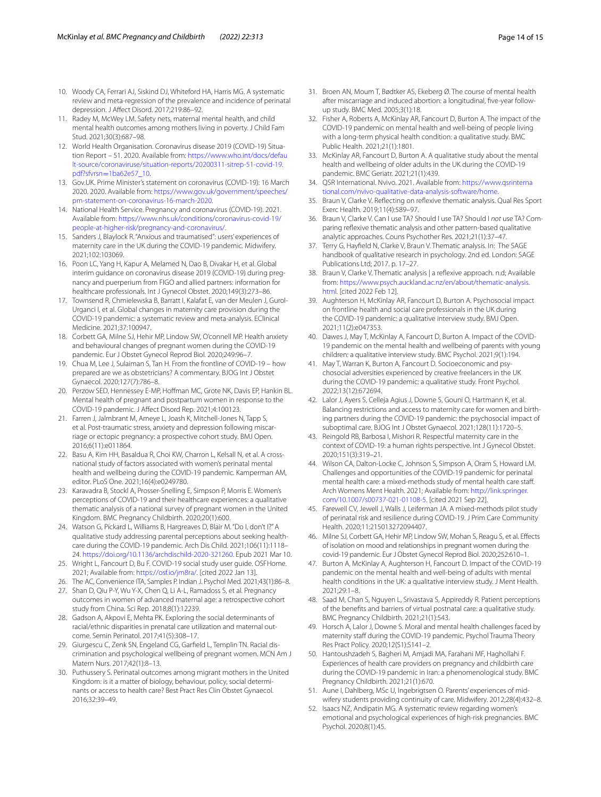- <span id="page-13-0"></span>10. Woody CA, Ferrari AJ, Siskind DJ, Whiteford HA, Harris MG. A systematic review and meta-regression of the prevalence and incidence of perinatal depression. J Afect Disord. 2017;219:86–92.
- <span id="page-13-1"></span>11. Radey M, McWey LM. Safety nets, maternal mental health, and child mental health outcomes among mothers living in poverty. J Child Fam Stud. 2021;30(3):687–98.
- <span id="page-13-2"></span>12. World Health Organisation. Coronavirus disease 2019 (COVID-19) Situation Report – 51. 2020. Available from: [https://www.who.int/docs/defau](https://www.who.int/docs/default-source/coronaviruse/situation-reports/20200311-sitrep-51-covid-19.pdf?sfvrsn=1ba62e57_10) [lt-source/coronaviruse/situation-reports/20200311-sitrep-51-covid-19.](https://www.who.int/docs/default-source/coronaviruse/situation-reports/20200311-sitrep-51-covid-19.pdf?sfvrsn=1ba62e57_10) pdf?sfvrsn=1ba62e57\_10.
- <span id="page-13-3"></span>13. [Gov.UK. Prime Minister's st](https://www.who.int/docs/default-source/coronaviruse/situation-reports/20200311-sitrep-51-covid-19.pdf?sfvrsn=1ba62e57_10)atement on coronavirus (COVID-19): 16 March 2020. 2020. Available from: [https://www.gov.uk/government/speeches/](https://www.gov.uk/government/speeches/pm-statement-on-coronavirus-16-march-2020) [pm-statement-on-coronavirus-16-march-2020.](https://www.gov.uk/government/speeches/pm-statement-on-coronavirus-16-march-2020)
- <span id="page-13-4"></span>14. National Health Service. Pregnancy and coronavirus (COVID-19). 2021. Available from: [https://www.nhs.uk/conditions/coronavirus-covid-19/](https://www.nhs.uk/conditions/coronavirus-covid-19/people-at-higher-risk/pregnancy-and-coronavirus/) [people-at-higher-risk/pregnancy-and-coronavirus/](https://www.nhs.uk/conditions/coronavirus-covid-19/people-at-higher-risk/pregnancy-and-coronavirus/).
- <span id="page-13-5"></span>15. Sanders J, Blaylock R. "Anxious and traumatised": users' experiences of maternity care in the UK during the COVID-19 pandemic. Midwifery. 2021;102:103069.
- <span id="page-13-6"></span>16. Poon LC, Yang H, Kapur A, Melamed N, Dao B, Divakar H, et al. Global interim guidance on coronavirus disease 2019 (COVID-19) during pregnancy and puerperium from FIGO and allied partners: information for healthcare professionals. Int J Gynecol Obstet. 2020;149(3):273–86.
- <span id="page-13-7"></span>17. Townsend R, Chmielewska B, Barratt I, Kalafat E, van der Meulen J, Gurol-Urganci I, et al. Global changes in maternity care provision during the COVID-19 pandemic: a systematic review and meta-analysis. EClinical Medicine. 2021;37:100947.
- <span id="page-13-8"></span>18. Corbett GA, Milne SJ, Hehir MP, Lindow SW, O'connell MP. Health anxiety and behavioural changes of pregnant women during the COVID-19 pandemic. Eur J Obstet Gynecol Reprod Biol. 2020;249:96–7.
- <span id="page-13-9"></span>19. Chua M, Lee J, Sulaiman S, Tan H. From the frontline of COVID-19 – how prepared are we as obstetricians? A commentary. BJOG Int J Obstet Gynaecol. 2020;127(7):786–8.
- <span id="page-13-10"></span>20. Perzow SED, Hennessey E-MP, Hofman MC, Grote NK, Davis EP, Hankin BL. Mental health of pregnant and postpartum women in response to the COVID-19 pandemic. J Afect Disord Rep. 2021;4:100123.
- <span id="page-13-11"></span>21. Farren J, Jalmbrant M, Ameye L, Joash K, Mitchell-Jones N, Tapp S, et al. Post-traumatic stress, anxiety and depression following miscarriage or ectopic pregnancy: a prospective cohort study. BMJ Open. 2016;6(11):e011864.
- <span id="page-13-12"></span>22. Basu A, Kim HH, Basaldua R, Choi KW, Charron L, Kelsall N, et al. A crossnational study of factors associated with women's perinatal mental health and wellbeing during the COVID-19 pandemic. Kamperman AM, editor. PLoS One. 2021;16(4):e0249780.
- <span id="page-13-13"></span>23. Karavadra B, Stockl A, Prosser-Snelling E, Simpson P, Morris E. Women's perceptions of COVID-19 and their healthcare experiences: a qualitative thematic analysis of a national survey of pregnant women in the United Kingdom. BMC Pregnancy Childbirth. 2020;20(1):600.
- <span id="page-13-14"></span>24. Watson G, Pickard L, Williams B, Hargreaves D, Blair M. "Do I, don't I?" A qualitative study addressing parental perceptions about seeking healthcare during the COVID-19 pandemic. Arch Dis Child. 2021;106(11):1118– 24. [https://doi.org/10.1136/archdischild-2020-321260.](https://doi.org/10.1136/archdischild-2020-321260) Epub 2021 Mar 10.
- <span id="page-13-15"></span>25. Wright L, Fancourt D, Bu F. COVID-19 social study user guide. OSFHome. 2021; Available from: [https://osf.io/jm8ra/.](https://osf.io/jm8ra/) [cited 2022 Jan 13].
- <span id="page-13-16"></span>26. The AC, Convenience ITA, Samples P. Indian J. Psychol Med. 2021;43(1):86–8.
- <span id="page-13-17"></span>27. Shan D, Qiu P-Y, Wu Y-X, Chen Q, Li A-L, Ramadoss S, et al. Pregnancy outcomes in women of advanced maternal age: a retrospective cohort study from China. Sci Rep. 2018;8(1):12239.
- <span id="page-13-18"></span>28. Gadson A, Akpovi E, Mehta PK. Exploring the social determinants of racial/ethnic disparities in prenatal care utilization and maternal outcome. Semin Perinatol. 2017;41(5):308–17.
- 29. Giurgescu C, Zenk SN, Engeland CG, Garfeld L, Templin TN. Racial discrimination and psychological wellbeing of pregnant women. MCN Am J Matern Nurs. 2017;42(1):8–13.
- <span id="page-13-19"></span>30. Puthussery S. Perinatal outcomes among migrant mothers in the United Kingdom: is it a matter of biology, behaviour, policy, social determinants or access to health care? Best Pract Res Clin Obstet Gynaecol. 2016;32:39–49.
- <span id="page-13-20"></span>31. Broen AN, Moum T, Bødtker AS, Ekeberg Ø. The course of mental health after miscarriage and induced abortion: a longitudinal, fve-year followup study. BMC Med. 2005;3(1):18.
- <span id="page-13-21"></span>32. Fisher A, Roberts A, McKinlay AR, Fancourt D, Burton A. The impact of the COVID-19 pandemic on mental health and well-being of people living with a long-term physical health condition: a qualitative study. BMC Public Health. 2021;21(1):1801.
- <span id="page-13-22"></span>33. McKinlay AR, Fancourt D, Burton A. A qualitative study about the mental health and wellbeing of older adults in the UK during the COVID-19 pandemic. BMC Geriatr. 2021;21(1):439.
- <span id="page-13-23"></span>34. QSR International. Nvivo. 2021. Available from: [https://www.qsrinterna](https://www.qsrinternational.com/nvivo-qualitative-data-analysis-software/home) [tional.com/nvivo-qualitative-data-analysis-software/home](https://www.qsrinternational.com/nvivo-qualitative-data-analysis-software/home).
- <span id="page-13-24"></span>35. Braun V, Clarke V. Refecting on refexive thematic analysis. Qual Res Sport Exerc Health. 2019;11(4):589–97.
- <span id="page-13-25"></span>36. Braun V, Clarke V. Can I use TA? Should I use TA? Should I *not* use TA? Comparing reflexive thematic analysis and other pattern-based qualitative analytic approaches. Couns Psychother Res. 2021;21(1):37–47.
- <span id="page-13-26"></span>37. Terry G, Hayfeld N, Clarke V, Braun V. Thematic analysis. In: The SAGE handbook of qualitative research in psychology. 2nd ed. London: SAGE Publications Ltd; 2017. p. 17–27.
- <span id="page-13-27"></span>38. Braun V, Clarke V. Thematic analysis | a refexive approach. n.d; Available from: [https://www.psych.auckland.ac.nz/en/about/thematic-analysis.](https://www.psych.auckland.ac.nz/en/about/thematic-analysis.html) [html.](https://www.psych.auckland.ac.nz/en/about/thematic-analysis.html) [cited 2022 Feb 12].
- <span id="page-13-28"></span>39. Aughterson H, McKinlay AR, Fancourt D, Burton A. Psychosocial impact on frontline health and social care professionals in the UK during the COVID-19 pandemic: a qualitative interview study. BMJ Open. 2021;11(2):e047353.
- 40. Dawes J, May T, McKinlay A, Fancourt D, Burton A. Impact of the COVID-19 pandemic on the mental health and wellbeing of parents with young children: a qualitative interview study. BMC Psychol. 2021;9(1):194.
- <span id="page-13-29"></span>41. May T, Warran K, Burton A, Fancourt D. Socioeconomic and psychosocial adversities experienced by creative freelancers in the UK during the COVID-19 pandemic: a qualitative study. Front Psychol. 2022;13(12):672694.
- <span id="page-13-30"></span>42. Lalor J, Ayers S, Celleja Agius J, Downe S, Gouni O, Hartmann K, et al. Balancing restrictions and access to maternity care for women and birthing partners during the COVID-19 pandemic: the psychosocial impact of suboptimal care. BJOG Int J Obstet Gynaecol. 2021;128(11):1720–5.
- <span id="page-13-31"></span>43. Reingold RB, Barbosa I, Mishori R. Respectful maternity care in the context of COVID-19: a human rights perspective. Int J Gynecol Obstet. 2020;151(3):319–21.
- <span id="page-13-32"></span>44. Wilson CA, Dalton-Locke C, Johnson S, Simpson A, Oram S, Howard LM. Challenges and opportunities of the COVID-19 pandemic for perinatal mental health care: a mixed-methods study of mental health care staf. Arch Womens Ment Health. 2021; Available from: [http://link.springer.](http://link.springer.com/10.1007/s00737-021-01108-5) [com/10.1007/s00737-021-01108-5](http://link.springer.com/10.1007/s00737-021-01108-5). [cited 2021 Sep 22].
- <span id="page-13-33"></span>45. Farewell CV, Jewell J, Walls J, Leiferman JA. A mixed-methods pilot study of perinatal risk and resilience during COVID-19. J Prim Care Community Health. 2020;11:215013272094407.
- <span id="page-13-34"></span>46. Milne SJ, Corbett GA, Hehir MP, Lindow SW, Mohan S, Reagu S, et al. Efects of isolation on mood and relationships in pregnant women during the covid-19 pandemic. Eur J Obstet Gynecol Reprod Biol. 2020;252:610–1.
- <span id="page-13-35"></span>47. Burton A, McKinlay A, Aughterson H, Fancourt D. Impact of the COVID-19 pandemic on the mental health and well-being of adults with mental health conditions in the UK: a qualitative interview study. J Ment Health. 2021;29:1–8.
- <span id="page-13-36"></span>48. Saad M, Chan S, Nguyen L, Srivastava S, Appireddy R. Patient perceptions of the benefts and barriers of virtual postnatal care: a qualitative study. BMC Pregnancy Childbirth. 2021;21(1):543.
- <span id="page-13-37"></span>49. Horsch A, Lalor J, Downe S. Moral and mental health challenges faced by maternity staff during the COVID-19 pandemic. Psychol Trauma Theory Res Pract Policy. 2020;12(S1):S141–2.
- <span id="page-13-38"></span>50. Hantoushzadeh S, Bagheri M, Amjadi MA, Farahani MF, Haghollahi F. Experiences of health care providers on pregnancy and childbirth care during the COVID-19 pandemic in Iran: a phenomenological study. BMC Pregnancy Childbirth. 2021;21(1):670.
- <span id="page-13-39"></span>51. Aune I, Dahlberg, MSc U, Ingebrigtsen O. Parents' experiences of midwifery students providing continuity of care. Midwifery. 2012;28(4):432–8.
- <span id="page-13-40"></span>52. Isaacs NZ, Andipatin MG. A systematic review regarding women's emotional and psychological experiences of high-risk pregnancies. BMC Psychol. 2020;8(1):45.